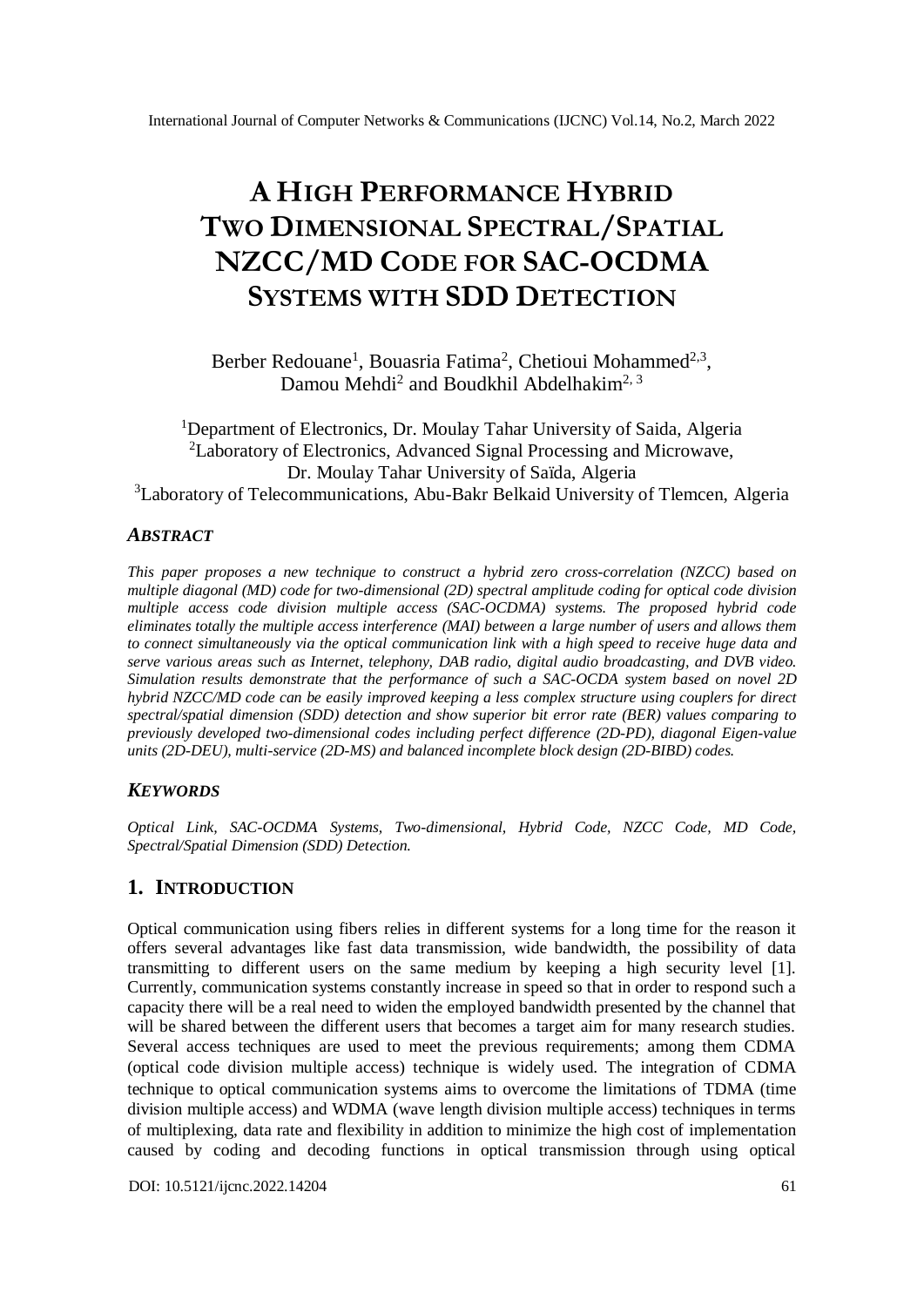# **A HIGH PERFORMANCE HYBRID TWO DIMENSIONAL SPECTRAL/SPATIAL NZCC/MD CODE FOR SAC-OCDMA SYSTEMS WITH SDD DETECTION**

Berber Redouane<sup>1</sup>, Bouasria Fatima<sup>2</sup>, Chetioui Mohammed<sup>2,3</sup>, Damou Mehdi<sup>2</sup> and Boudkhil Abdelhakim<sup>2, 3</sup>

<sup>1</sup>Department of Electronics, Dr. Moulay Tahar University of Saida, Algeria <sup>2</sup>Laboratory of Electronics, Advanced Signal Processing and Microwave, Dr. Moulay Tahar University of Saïda, Algeria <sup>3</sup>Laboratory of Telecommunications, Abu-Bakr Belkaid University of Tlemcen, Algeria

## *ABSTRACT*

*This paper proposes a new technique to construct a hybrid zero cross-correlation (NZCC) based on multiple diagonal (MD) code for two-dimensional (2D) spectral amplitude coding for optical code division multiple access code division multiple access (SAC-OCDMA) systems. The proposed hybrid code eliminates totally the multiple access interference (MAI) between a large number of users and allows them to connect simultaneously via the optical communication link with a high speed to receive huge data and serve various areas such as Internet, telephony, DAB radio, digital audio broadcasting, and DVB video. Simulation results demonstrate that the performance of such a SAC-OCDA system based on novel 2D hybrid NZCC/MD code can be easily improved keeping a less complex structure using couplers for direct spectral/spatial dimension (SDD) detection and show superior bit error rate (BER) values comparing to previously developed two-dimensional codes including perfect difference (2D-PD), diagonal Eigen-value units (2D-DEU), multi-service (2D-MS) and balanced incomplete block design (2D-BIBD) codes.*

## *KEYWORDS*

*Optical Link, SAC-OCDMA Systems, Two-dimensional, Hybrid Code, NZCC Code, MD Code, Spectral/Spatial Dimension (SDD) Detection.*

# **1. INTRODUCTION**

Optical communication using fibers relies in different systems for a long time for the reason it offers several advantages like fast data transmission, wide bandwidth, the possibility of data transmitting to different users on the same medium by keeping a high security level [1]. Currently, communication systems constantly increase in speed so that in order to respond such a capacity there will be a real need to widen the employed bandwidth presented by the channel that will be shared between the different users that becomes a target aim for many research studies. Several access techniques are used to meet the previous requirements; among them CDMA (optical code division multiple access) technique is widely used. The integration of CDMA technique to optical communication systems aims to overcome the limitations of TDMA (time division multiple access) and WDMA (wave length division multiple access) techniques in terms of multiplexing, data rate and flexibility in addition to minimize the high cost of implementation caused by coding and decoding functions in optical transmission through using optical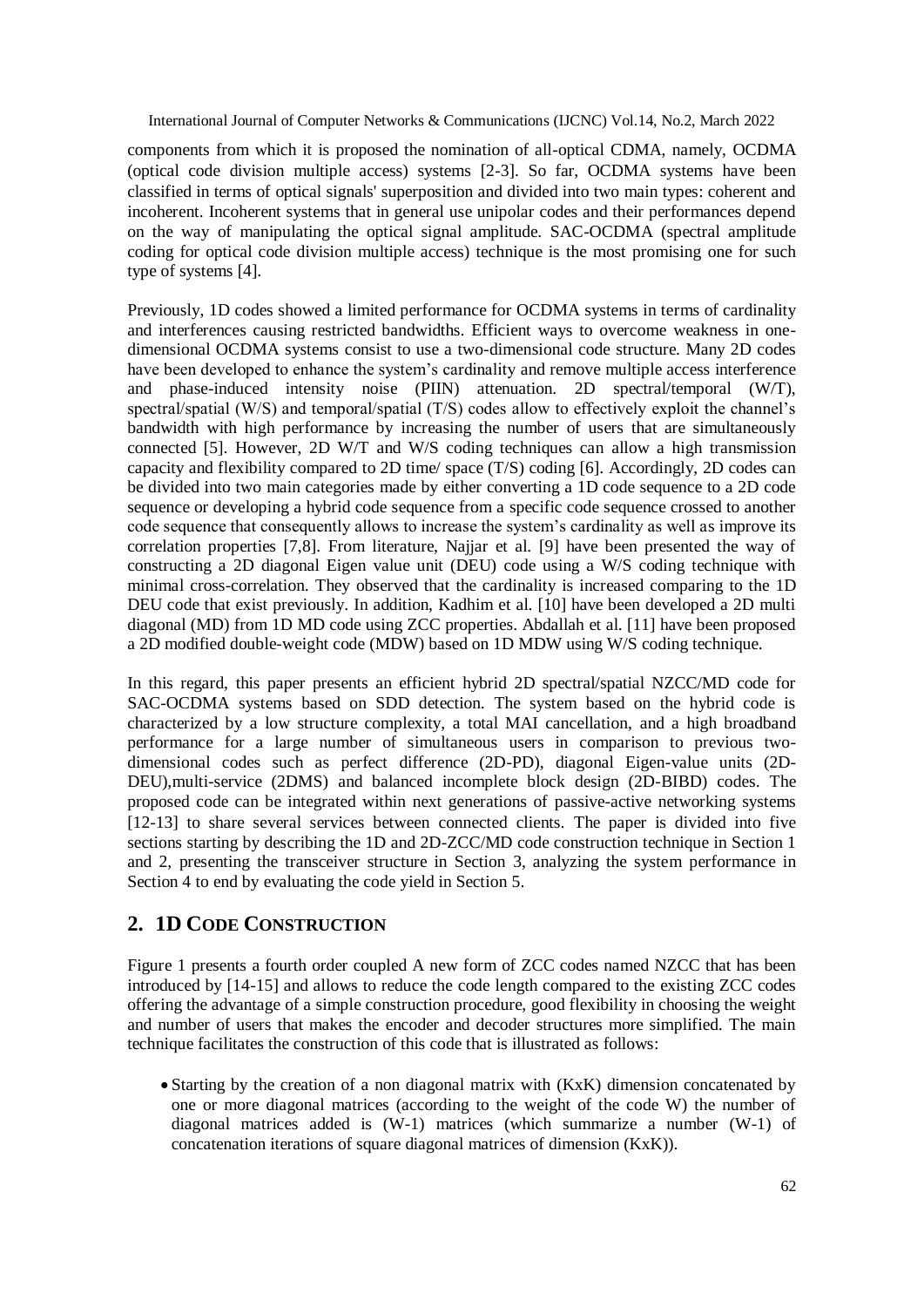components from which it is proposed the nomination of all-optical CDMA, namely, OCDMA (optical code division multiple access) systems [2-3]. So far, OCDMA systems have been classified in terms of optical signals' superposition and divided into two main types: coherent and incoherent. Incoherent systems that in general use unipolar codes and their performances depend on the way of manipulating the optical signal amplitude. SAC-OCDMA (spectral amplitude coding for optical code division multiple access) technique is the most promising one for such type of systems [4].

Previously, 1D codes showed a limited performance for OCDMA systems in terms of cardinality and interferences causing restricted bandwidths. Efficient ways to overcome weakness in onedimensional OCDMA systems consist to use a two-dimensional code structure. Many 2D codes have been developed to enhance the system's cardinality and remove multiple access interference and phase-induced intensity noise (PIIN) attenuation. 2D spectral/temporal (W/T), spectral/spatial (W/S) and temporal/spatial (T/S) codes allow to effectively exploit the channel's bandwidth with high performance by increasing the number of users that are simultaneously connected [5]. However, 2D W/T and W/S coding techniques can allow a high transmission capacity and flexibility compared to 2D time/ space (T/S) coding [6]. Accordingly, 2D codes can be divided into two main categories made by either converting a 1D code sequence to a 2D code sequence or developing a hybrid code sequence from a specific code sequence crossed to another code sequence that consequently allows to increase the system's cardinality as well as improve its correlation properties [7,8]. From literature, Najjar et al. [9] have been presented the way of constructing a 2D diagonal Eigen value unit (DEU) code using a W/S coding technique with minimal cross-correlation. They observed that the cardinality is increased comparing to the 1D DEU code that exist previously. In addition, Kadhim et al. [10] have been developed a 2D multi diagonal (MD) from 1D MD code using ZCC properties. Abdallah et al. [11] have been proposed a 2D modified double-weight code (MDW) based on 1D MDW using W/S coding technique.

In this regard, this paper presents an efficient hybrid 2D spectral/spatial NZCC/MD code for SAC-OCDMA systems based on SDD detection. The system based on the hybrid code is characterized by a low structure complexity, a total MAI cancellation, and a high broadband performance for a large number of simultaneous users in comparison to previous twodimensional codes such as perfect difference (2D-PD), diagonal Eigen-value units (2D-DEU),multi-service (2DMS) and balanced incomplete block design (2D-BIBD) codes. The proposed code can be integrated within next generations of passive-active networking systems [12-13] to share several services between connected clients. The paper is divided into five sections starting by describing the 1D and 2D-ZCC/MD code construction technique in Section 1 and 2, presenting the transceiver structure in Section 3, analyzing the system performance in Section 4 to end by evaluating the code yield in Section 5.

# **2. 1D CODE CONSTRUCTION**

Figure 1 presents a fourth order coupled A new form of ZCC codes named NZCC that has been introduced by [14-15] and allows to reduce the code length compared to the existing ZCC codes offering the advantage of a simple construction procedure, good flexibility in choosing the weight and number of users that makes the encoder and decoder structures more simplified. The main technique facilitates the construction of this code that is illustrated as follows:

 Starting by the creation of a non diagonal matrix with (KxK) dimension concatenated by one or more diagonal matrices (according to the weight of the code W) the number of diagonal matrices added is (W-1) matrices (which summarize a number (W-1) of concatenation iterations of square diagonal matrices of dimension (KxK)).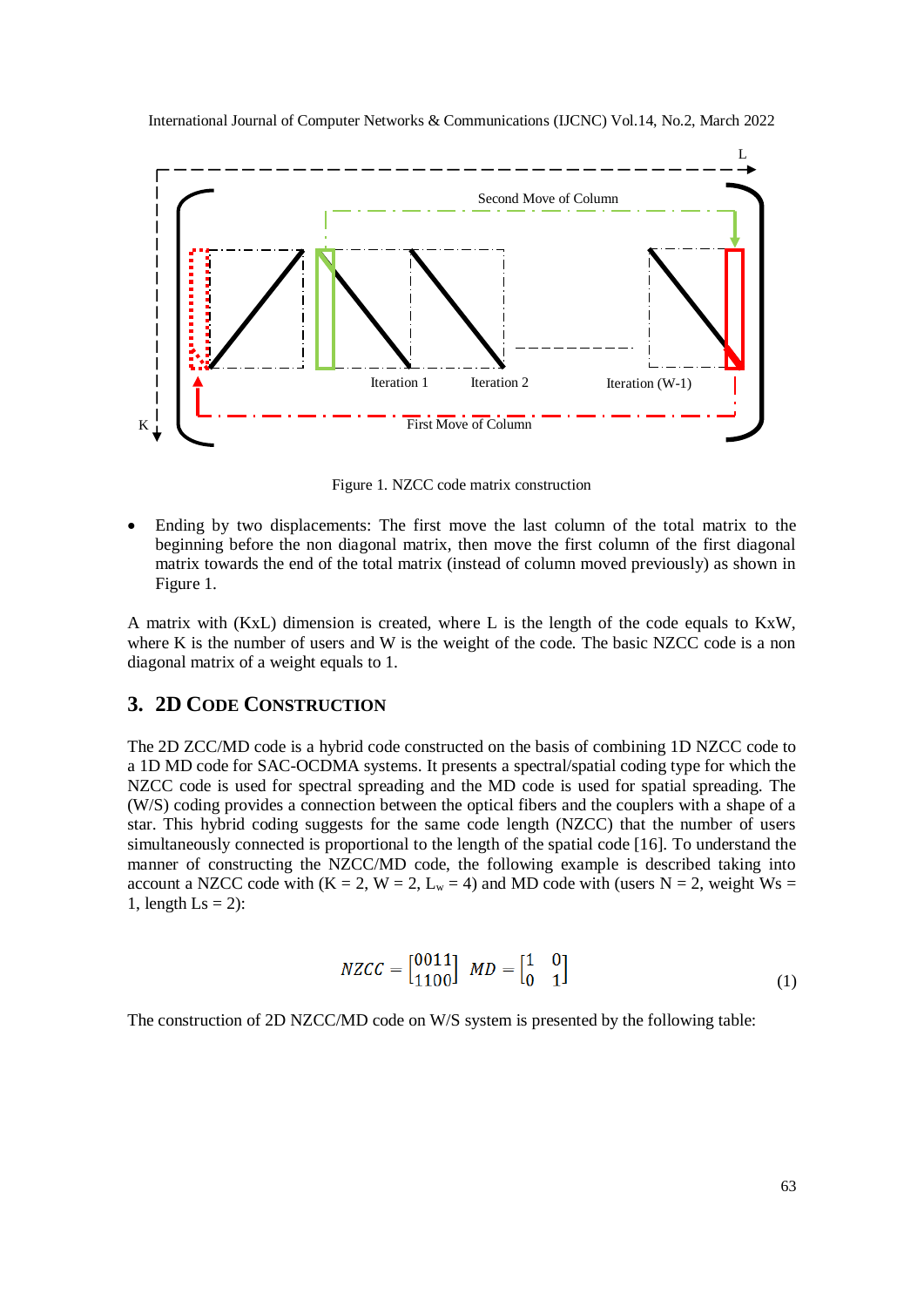

Figure 1. NZCC code matrix construction

 Ending by two displacements: The first move the last column of the total matrix to the beginning before the non diagonal matrix, then move the first column of the first diagonal matrix towards the end of the total matrix (instead of column moved previously) as shown in Figure 1.

A matrix with (KxL) dimension is created, where L is the length of the code equals to KxW, where K is the number of users and W is the weight of the code. The basic NZCC code is a non diagonal matrix of a weight equals to 1.

# **3. 2D CODE CONSTRUCTION**

The 2D ZCC/MD code is a hybrid code constructed on the basis of combining 1D NZCC code to a 1D MD code for SAC-OCDMA systems. It presents a spectral/spatial coding type for which the NZCC code is used for spectral spreading and the MD code is used for spatial spreading. The (W/S) coding provides a connection between the optical fibers and the couplers with a shape of a star. This hybrid coding suggests for the same code length (NZCC) that the number of users simultaneously connected is proportional to the length of the spatial code [16]. To understand the manner of constructing the NZCC/MD code, the following example is described taking into account a NZCC code with (K = 2, W = 2, L<sub>w</sub> = 4) and MD code with (users N = 2, weight Ws = 1, length  $\text{Ls} = 2$ :

$$
NZCC = \begin{bmatrix} 0011 \\ 1100 \end{bmatrix} \quad MD = \begin{bmatrix} 1 & 0 \\ 0 & 1 \end{bmatrix} \tag{1}
$$

The construction of 2D NZCC/MD code on W/S system is presented by the following table: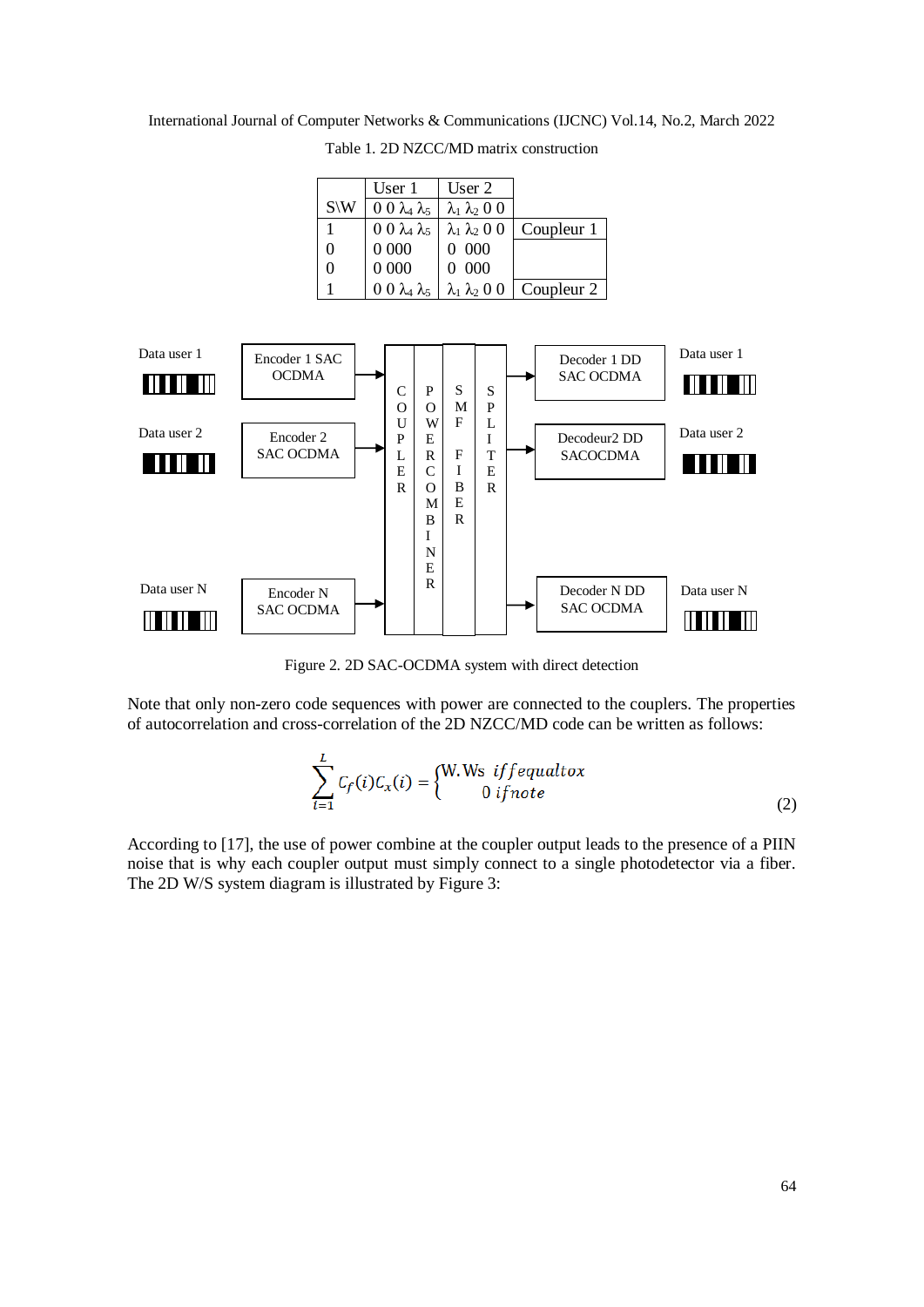International Journal of Computer Networks & Communications (IJCNC) Vol.14, No.2, March 2022

Table 1. 2D NZCC/MD matrix construction

|                 | User 1                         | User 2                    |            |
|-----------------|--------------------------------|---------------------------|------------|
| $S\backslash W$ |                                |                           |            |
|                 | $0 \theta \lambda_4 \lambda_5$ | $\lambda_1 \lambda_2 0 0$ |            |
|                 | $0\ 0\ \lambda_4\ \lambda_5$   | $\lambda_1 \lambda_2 0 0$ | Coupleur 1 |
| $\theta$        | $0\ 000$                       | $0\ 000$                  |            |
| $\theta$        | 0 0 0 0                        | 0 000                     |            |
|                 | $0 \theta \lambda_4 \lambda_5$ | $\lambda_1 \lambda_2 0 0$ | Coupleur 2 |



Figure 2. 2D SAC-OCDMA system with direct detection

Note that only non-zero code sequences with power are connected to the couplers. The properties of autocorrelation and cross-correlation of the 2D NZCC/MD code can be written as follows:

$$
\sum_{i=1}^{L} C_f(i) C_x(i) = \begin{cases} W.Ws \text{ if } f \in \text{qualt } ox \\ 0 \text{ if } note \end{cases}
$$
 (2)

According to [17], the use of power combine at the coupler output leads to the presence of a PIIN noise that is why each coupler output must simply connect to a single photodetector via a fiber. The 2D W/S system diagram is illustrated by Figure 3: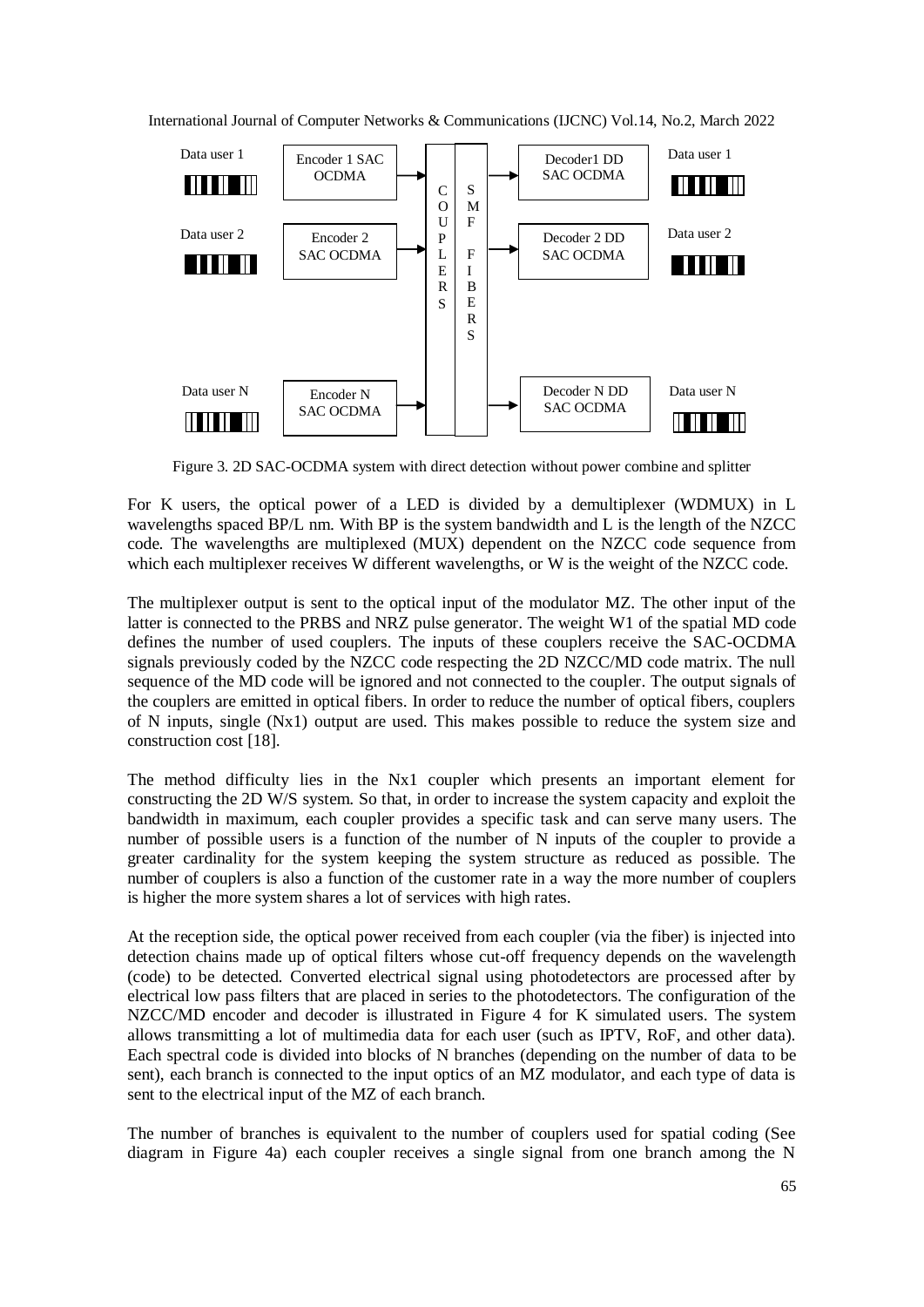International Journal of Computer Networks & Communications (IJCNC) Vol.14, No.2, March 2022



Figure 3. 2D SAC-OCDMA system with direct detection without power combine and splitter

For K users, the optical power of a LED is divided by a demultiplexer (WDMUX) in L wavelengths spaced BP/L nm. With BP is the system bandwidth and L is the length of the NZCC code. The wavelengths are multiplexed (MUX) dependent on the NZCC code sequence from which each multiplexer receives W different wavelengths, or W is the weight of the NZCC code.

The multiplexer output is sent to the optical input of the modulator MZ. The other input of the latter is connected to the PRBS and NRZ pulse generator. The weight W1 of the spatial MD code defines the number of used couplers. The inputs of these couplers receive the SAC-OCDMA signals previously coded by the NZCC code respecting the 2D NZCC/MD code matrix. The null sequence of the MD code will be ignored and not connected to the coupler. The output signals of the couplers are emitted in optical fibers. In order to reduce the number of optical fibers, couplers of N inputs, single (Nx1) output are used. This makes possible to reduce the system size and construction cost [18].

The method difficulty lies in the Nx1 coupler which presents an important element for constructing the 2D W/S system. So that, in order to increase the system capacity and exploit the bandwidth in maximum, each coupler provides a specific task and can serve many users. The number of possible users is a function of the number of N inputs of the coupler to provide a greater cardinality for the system keeping the system structure as reduced as possible. The number of couplers is also a function of the customer rate in a way the more number of couplers is higher the more system shares a lot of services with high rates.

At the reception side, the optical power received from each coupler (via the fiber) is injected into detection chains made up of optical filters whose cut-off frequency depends on the wavelength (code) to be detected. Converted electrical signal using photodetectors are processed after by electrical low pass filters that are placed in series to the photodetectors. The configuration of the NZCC/MD encoder and decoder is illustrated in Figure 4 for K simulated users. The system allows transmitting a lot of multimedia data for each user (such as IPTV, RoF, and other data). Each spectral code is divided into blocks of N branches (depending on the number of data to be sent), each branch is connected to the input optics of an MZ modulator, and each type of data is sent to the electrical input of the MZ of each branch.

The number of branches is equivalent to the number of couplers used for spatial coding (See diagram in Figure 4a) each coupler receives a single signal from one branch among the N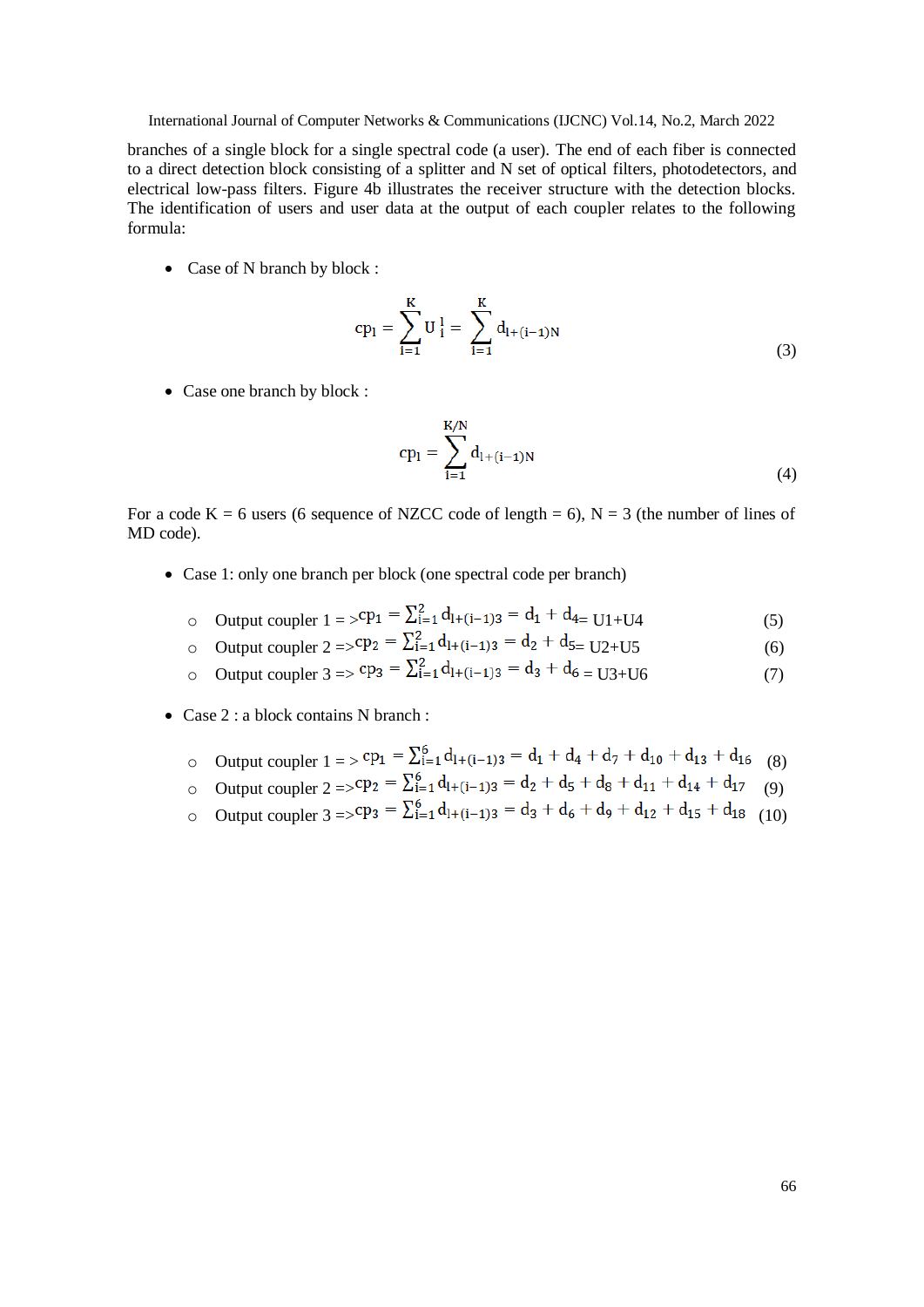branches of a single block for a single spectral code (a user). The end of each fiber is connected to a direct detection block consisting of a splitter and N set of optical filters, photodetectors, and electrical low-pass filters. Figure 4b illustrates the receiver structure with the detection blocks. The identification of users and user data at the output of each coupler relates to the following formula:

• Case of N branch by block :

$$
cp_{l} = \sum_{i=1}^{K} U_{i}^{l} = \sum_{i=1}^{K} d_{l+(i-1)N}
$$
\n(3)

• Case one branch by block :

$$
cp_{1} = \sum_{i=1}^{K/N} d_{1+(i-1)N}
$$
\n(4)

For a code K = 6 users (6 sequence of NZCC code of length = 6),  $N = 3$  (the number of lines of MD code).

- Case 1: only one branch per block (one spectral code per branch)
	- o Output coupler  $1 = 2^{p_1} = \sum_{i=1}^{2} d_{1+(i-1)3} = d_1 + d_{4} = 11+104$  (5)
	- o Output coupler  $2 = \sum_{i=1}^{2} d_{1+(i-1)3} = d_2 + d_5 = U2 + U5$  (6)
	- o Output coupler  $3 \Rightarrow$   $cp_3 = \sum_{i=1}^{2} d_{1+(i-1)3} = d_3 + d_6 = \sum_{i=1}^{3} (7)$  (7)
- Case 2 : a block contains N branch :
	- Output coupler  $1 = \sum_{i=1}^{6} d_{1+(i-1)3} = d_1 + d_4 + d_7 + d_{10} + d_{13} + d_{16}$  (8)
	- o Output coupler  $2 = \sum_{i=1}^{6} d_{1+(i-1)3} = d_2 + d_5 + d_8 + d_{11} + d_{14} + d_{17}$  (9)
	- o Output coupler  $3 = \sum_{i=1}^{6} d_{1+(i-1)3} = d_3 + d_6 + d_9 + d_{12} + d_{15} + d_{18}$  (10)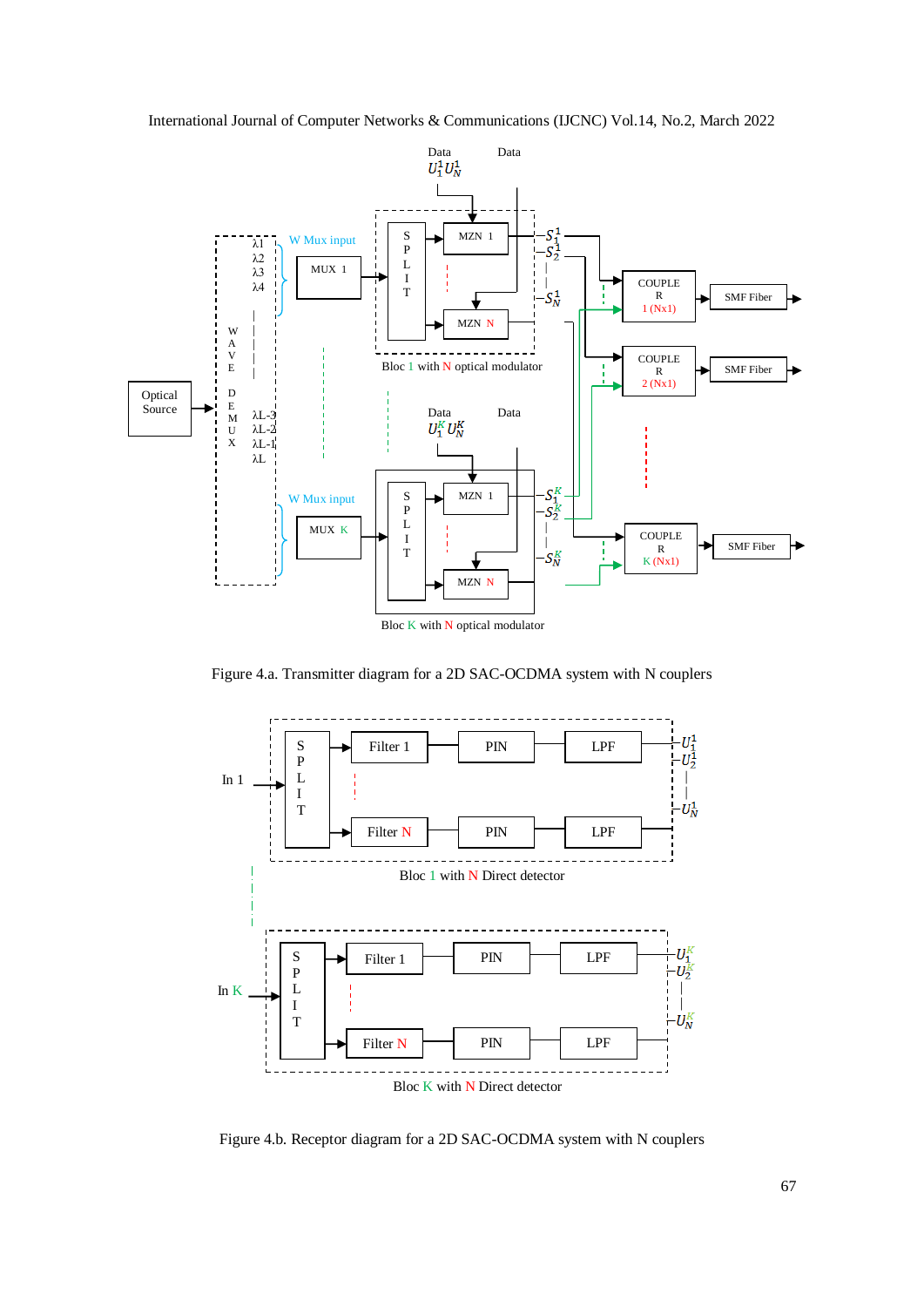



Figure 4.a. Transmitter diagram for a 2D SAC-OCDMA system with N couplers



Figure 4.b. Receptor diagram for a 2D SAC-OCDMA system with N couplers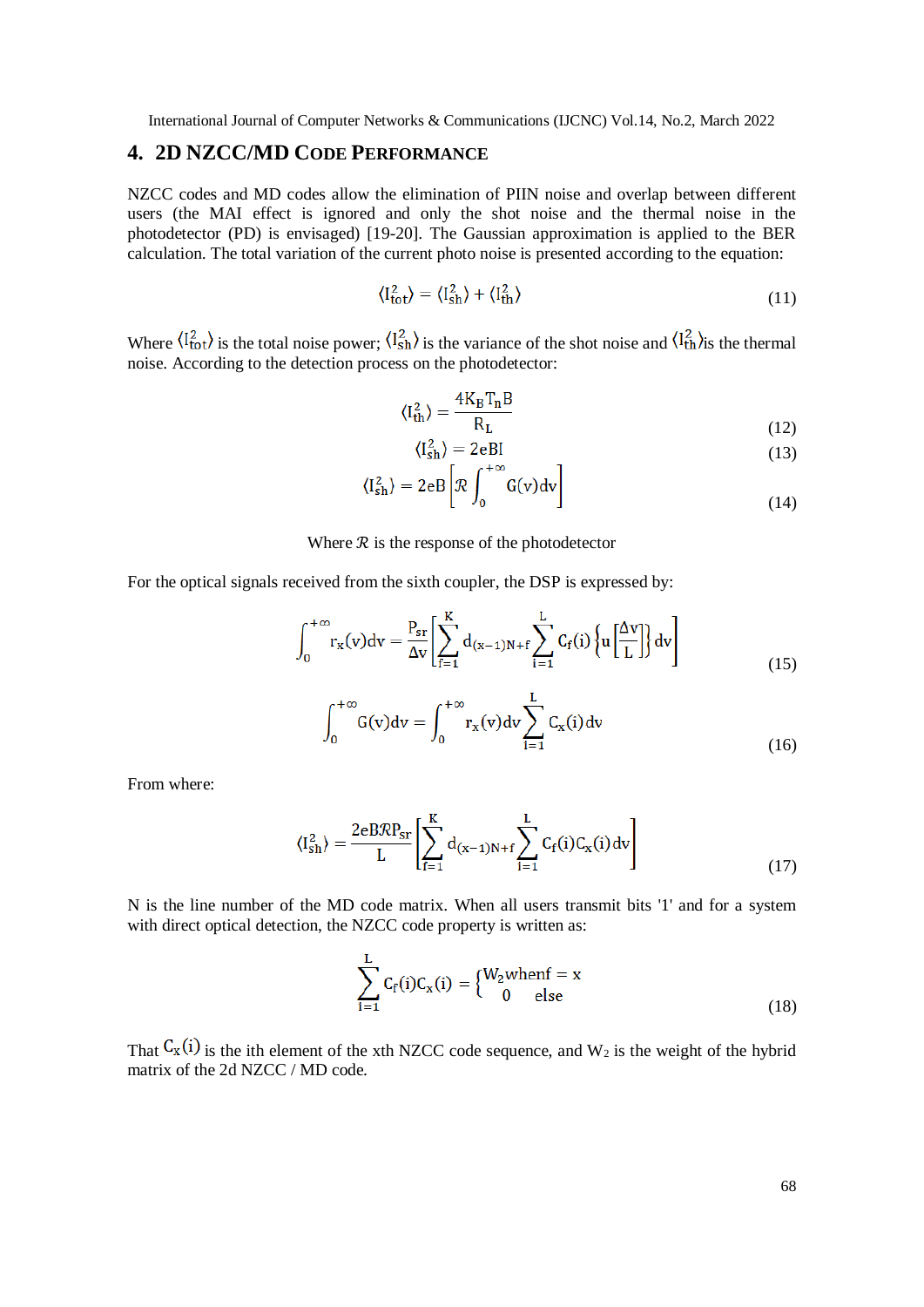## **4. 2D NZCC/MD CODE PERFORMANCE**

NZCC codes and MD codes allow the elimination of PIIN noise and overlap between different users (the MAI effect is ignored and only the shot noise and the thermal noise in the photodetector (PD) is envisaged) [19-20]. The Gaussian approximation is applied to the BER calculation. The total variation of the current photo noise is presented according to the equation:

$$
\langle I_{\rm tot}^2 \rangle = \langle I_{\rm sh}^2 \rangle + \langle I_{\rm th}^2 \rangle \tag{11}
$$

Where  $\langle I_{\text{tot}}^2 \rangle$  is the total noise power;  $\langle I_{\text{sh}}^2 \rangle$  is the variance of the shot noise and  $\langle I_{\text{th}}^2 \rangle$  is the thermal noise. According to the detection process on the photodetector:

$$
\langle I_{\rm th}^2 \rangle = \frac{4K_{\rm B}T_{\rm n}B}{R_{\rm L}}\tag{12}
$$

$$
\langle I_{\text{sh}}^2 \rangle = 2 \text{eBI} \tag{13}
$$

$$
\langle I_{\rm sh}^2 \rangle = 2eB \left[ \mathcal{R} \int_0^{+\infty} G(v) dv \right]
$$
 (14)

#### Where  $R$  is the response of the photodetector

For the optical signals received from the sixth coupler, the DSP is expressed by:

$$
\int_0^{+\infty} r_x(v) dv = \frac{P_{sr}}{\Delta v} \left[ \sum_{f=1}^K d_{(x-1)N+f} \sum_{i=1}^L C_f(i) \left\{ u \left[ \frac{\Delta v}{L} \right] \right\} dv \right]
$$
(15)

$$
\int_0^{+\infty} G(v) dv = \int_0^{+\infty} r_x(v) dv \sum_{i=1}^L C_x(i) dv
$$
\n(16)

From where:

$$
\langle I_{\rm sh}^2 \rangle = \frac{2eBRP_{\rm sr}}{L} \left[ \sum_{f=1}^K d_{(x-1)N+f} \sum_{i=1}^L C_f(i) C_x(i) \, dv \right] \tag{17}
$$

N is the line number of the MD code matrix. When all users transmit bits '1' and for a system with direct optical detection, the NZCC code property is written as:

$$
\sum_{i=1}^{L} C_f(i) C_x(i) = \begin{cases} W_2 \text{when } f = x \\ 0 \text{ else} \end{cases}
$$
 (18)

That  $C_x(i)$  is the ith element of the xth NZCC code sequence, and  $W_2$  is the weight of the hybrid matrix of the 2d NZCC / MD code.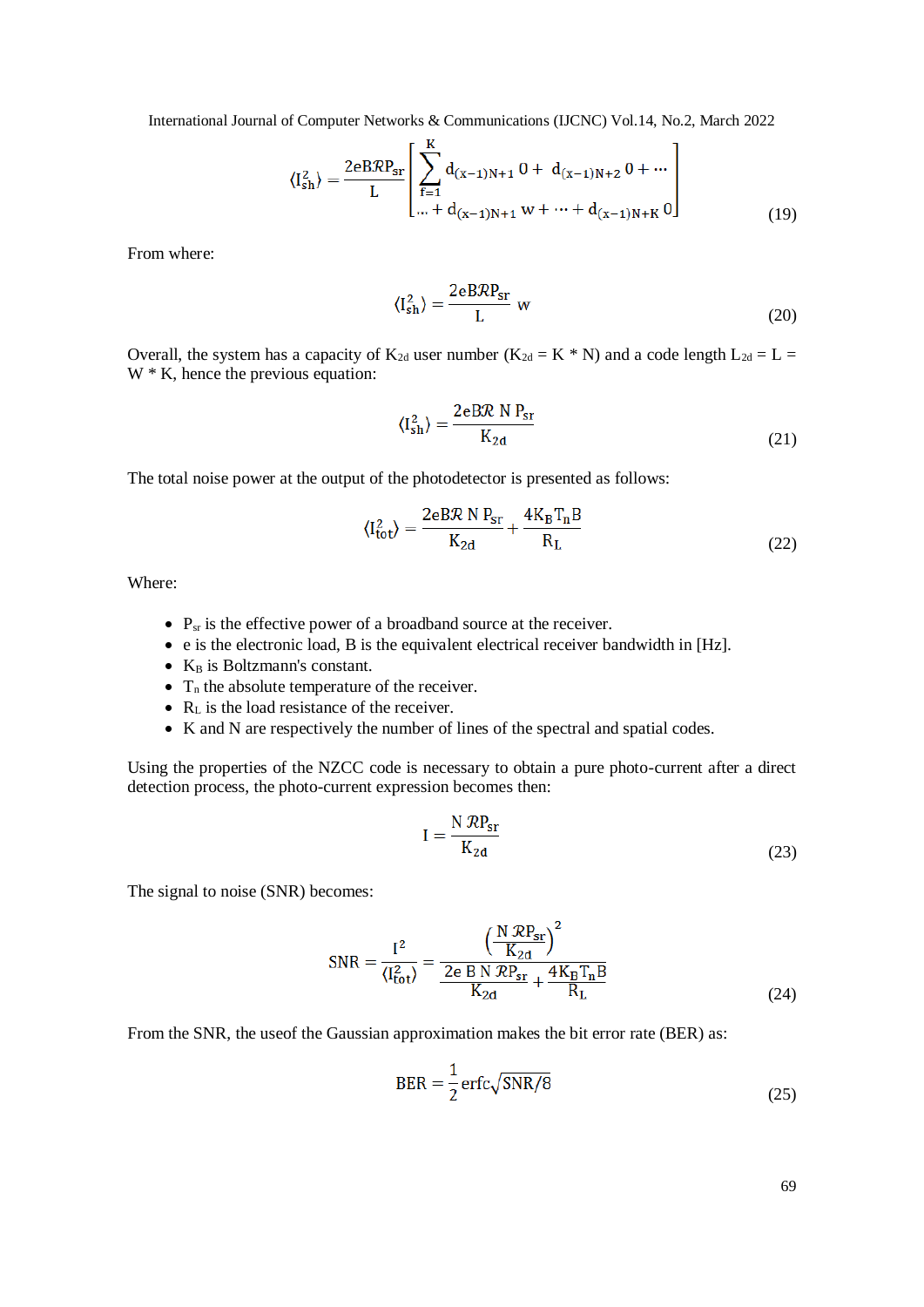$$
\langle I_{\rm sh}^2 \rangle = \frac{2eBRP_{\rm sr}}{L} \left[ \sum_{f=1}^{K} d_{(x-1)N+1} 0 + d_{(x-1)N+2} 0 + \cdots \right]
$$
  
 
$$
\cdots + d_{(x-1)N+1} w + \cdots + d_{(x-1)N+K} 0 \right]
$$
(19)

From where:

$$
\langle I_{\rm sh}^2 \rangle = \frac{2eBRP_{\rm sr}}{L} \text{ w} \tag{20}
$$

Overall, the system has a capacity of  $K_{2d}$  user number  $(K_{2d} = K * N)$  and a code length  $L_{2d} = L =$ W  $*$  K, hence the previous equation:

$$
\langle I_{\rm sh}^2 \rangle = \frac{2 \text{eBR} \, N \, P_{\rm sr}}{K_{2d}} \tag{21}
$$

The total noise power at the output of the photodetector is presented as follows:

$$
\langle I_{\text{tot}}^2 \rangle = \frac{2eBR \, N \, P_{\text{sr}}}{K_{2\text{d}}} + \frac{4K_B T_n B}{R_L} \tag{22}
$$

Where:

- $\bullet$  P<sub>sr</sub> is the effective power of a broadband source at the receiver.
- e is the electronic load, B is the equivalent electrical receiver bandwidth in [Hz].
- $\bullet$  K<sub>B</sub> is Boltzmann's constant.
- $\bullet$  T<sub>n</sub> the absolute temperature of the receiver.
- $R_L$  is the load resistance of the receiver.
- K and N are respectively the number of lines of the spectral and spatial codes.

Using the properties of the NZCC code is necessary to obtain a pure photo-current after a direct detection process, the photo-current expression becomes then:

$$
I = \frac{N \, \mathcal{R}P_{sr}}{K_{2d}} \tag{23}
$$

The signal to noise (SNR) becomes:

$$
SNR = \frac{I^2}{\langle I_{\text{tot}}^2 \rangle} = \frac{\left(\frac{N \, \mathcal{R}P_{\text{sr}}}{K_{2d}}\right)^2}{\frac{2 \text{e } B \, N \, \mathcal{R}P_{\text{sr}}}{K_{2d}} + \frac{4K_B T_n B}{R_L}}
$$
(24)

From the SNR, the useof the Gaussian approximation makes the bit error rate (BER) as:

$$
BER = \frac{1}{2} \operatorname{erfc} \sqrt{\operatorname{SNR}/8} \tag{25}
$$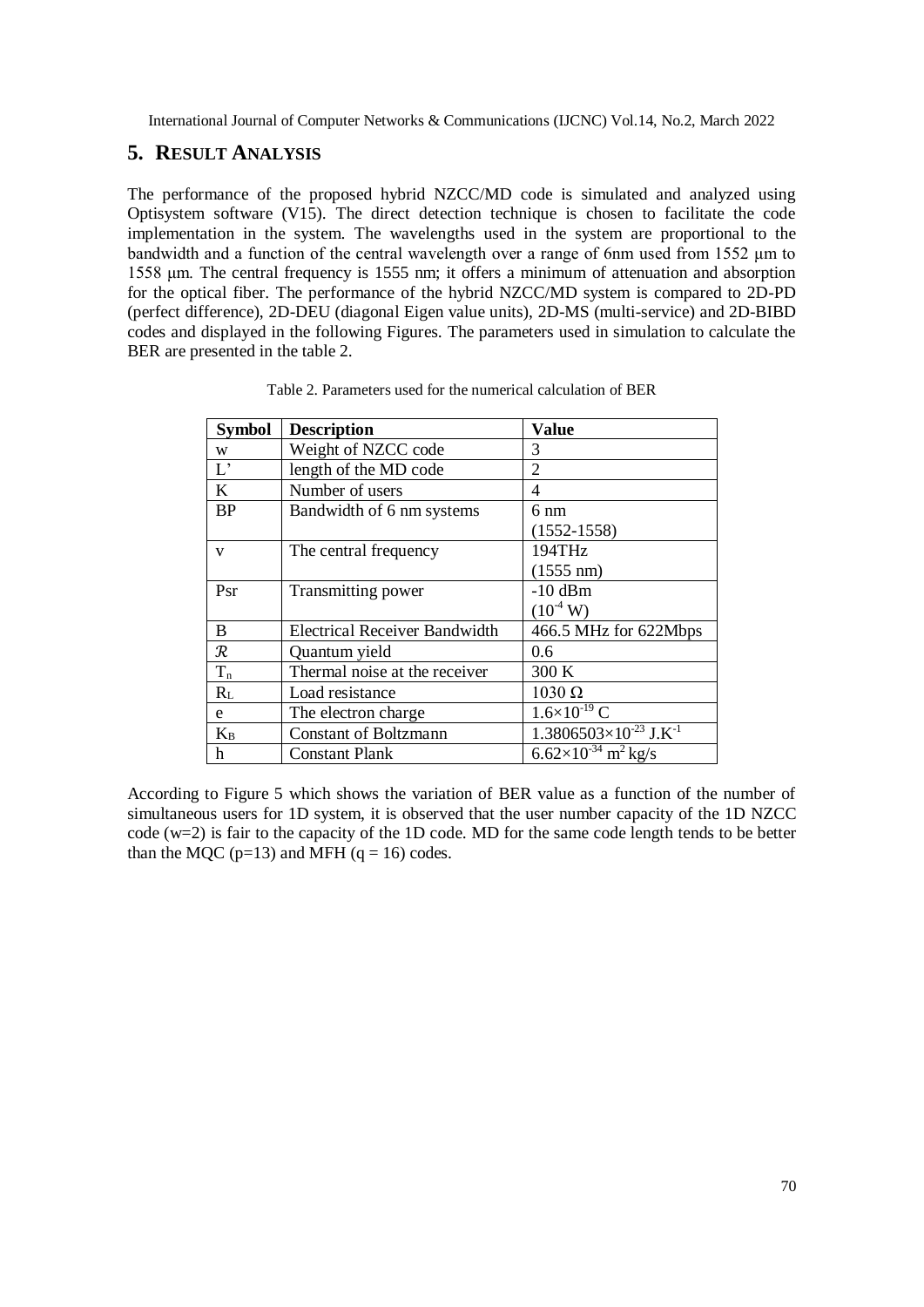## **5. RESULT ANALYSIS**

The performance of the proposed hybrid NZCC/MD code is simulated and analyzed using Optisystem software (V15). The direct detection technique is chosen to facilitate the code implementation in the system. The wavelengths used in the system are proportional to the bandwidth and a function of the central wavelength over a range of 6nm used from 1552 μm to 1558 μm. The central frequency is 1555 nm; it offers a minimum of attenuation and absorption for the optical fiber. The performance of the hybrid NZCC/MD system is compared to 2D-PD (perfect difference), 2D-DEU (diagonal Eigen value units), 2D-MS (multi-service) and 2D-BIBD codes and displayed in the following Figures. The parameters used in simulation to calculate the BER are presented in the table 2.

| <b>Symbol</b> | <b>Description</b>                   | Value                                       |
|---------------|--------------------------------------|---------------------------------------------|
| W             | Weight of NZCC code                  | 3                                           |
| $L^{\prime}$  | length of the MD code                | 2                                           |
| K             | Number of users                      | 4                                           |
| <b>BP</b>     | Bandwidth of 6 nm systems            | 6 nm                                        |
|               |                                      | $(1552 - 1558)$                             |
| V             | The central frequency                | 194THz                                      |
|               |                                      | $(1555 \text{ nm})$                         |
| Psr           | Transmitting power                   | $-10$ dBm                                   |
|               |                                      | $(10^4 \text{ W})$                          |
| B             | <b>Electrical Receiver Bandwidth</b> | 466.5 MHz for 622Mbps                       |
| $\mathcal{R}$ | Quantum yield                        | 0.6                                         |
| $T_{n}$       | Thermal noise at the receiver        | 300 K                                       |
| $R_L$         | Load resistance                      | $1030 \Omega$                               |
| e             | The electron charge                  | $1.6 \times 10^{-19}$ C                     |
| $K_B$         | <b>Constant of Boltzmann</b>         | $1.3806503\times10^{-23}$ J.K <sup>-1</sup> |
| h             | <b>Constant Plank</b>                | $6.62\times10^{-34}$ m <sup>2</sup> kg/s    |

Table 2. Parameters used for the numerical calculation of BER

According to Figure 5 which shows the variation of BER value as a function of the number of simultaneous users for 1D system, it is observed that the user number capacity of the 1D NZCC code (w=2) is fair to the capacity of the 1D code. MD for the same code length tends to be better than the MQC ( $p=13$ ) and MFH ( $q=16$ ) codes.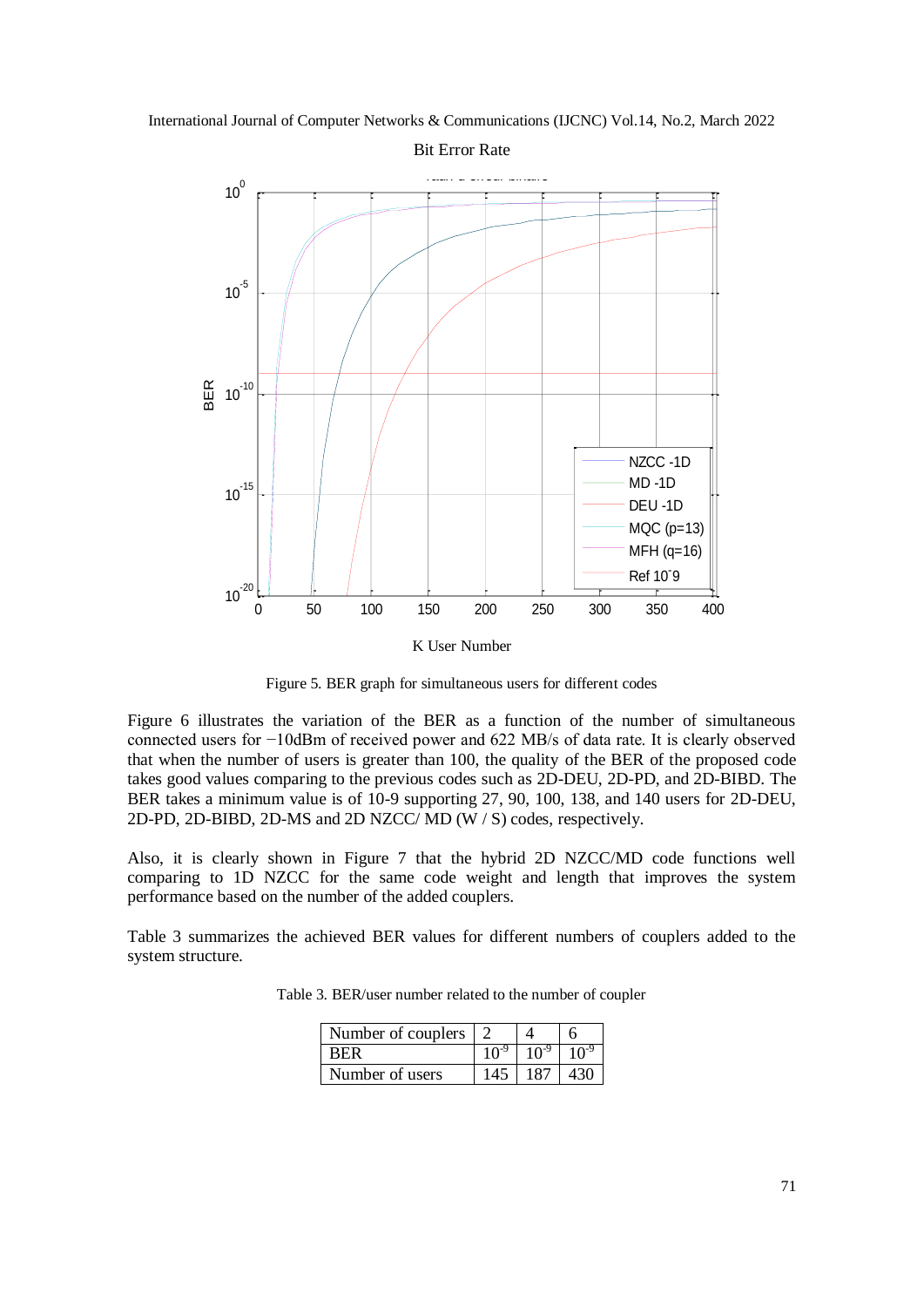International Journal of Computer Networks & Communications (IJCNC) Vol.14, No.2, March 2022



Figure 5. BER graph for simultaneous users for different codes

Figure 6 illustrates the variation of the BER as a function of the number of simultaneous connected users for −10dBm of received power and 622 MB/s of data rate. It is clearly observed that when the number of users is greater than 100, the quality of the BER of the proposed code takes good values comparing to the previous codes such as 2D-DEU, 2D-PD, and 2D-BIBD. The BER takes a minimum value is of 10-9 supporting 27, 90, 100, 138, and 140 users for 2D-DEU, 2D-PD, 2D-BIBD, 2D-MS and 2D NZCC/ MD (W / S) codes, respectively.

Also, it is clearly shown in Figure 7 that the hybrid 2D NZCC/MD code functions well comparing to 1D NZCC for the same code weight and length that improves the system performance based on the number of the added couplers.

Table 3 summarizes the achieved BER values for different numbers of couplers added to the system structure.

| Number of couplers |     |     |
|--------------------|-----|-----|
|                    |     |     |
| Number of users    | 187 | 430 |

Table 3. BER/user number related to the number of coupler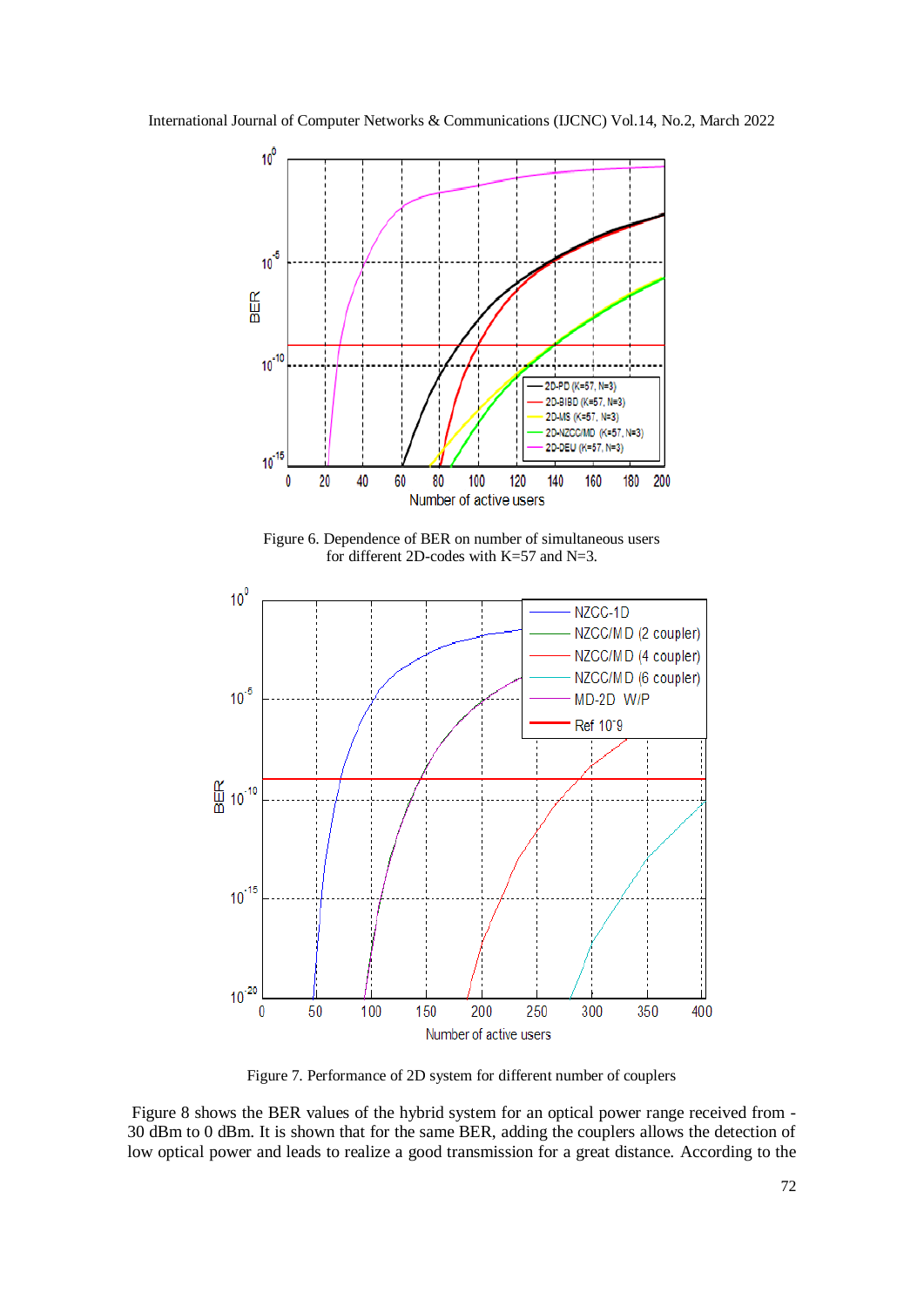



Figure 7. Performance of 2D system for different number of couplers

Figure 8 shows the BER values of the hybrid system for an optical power range received from - 30 dBm to 0 dBm. It is shown that for the same BER, adding the couplers allows the detection of low optical power and leads to realize a good transmission for a great distance. According to the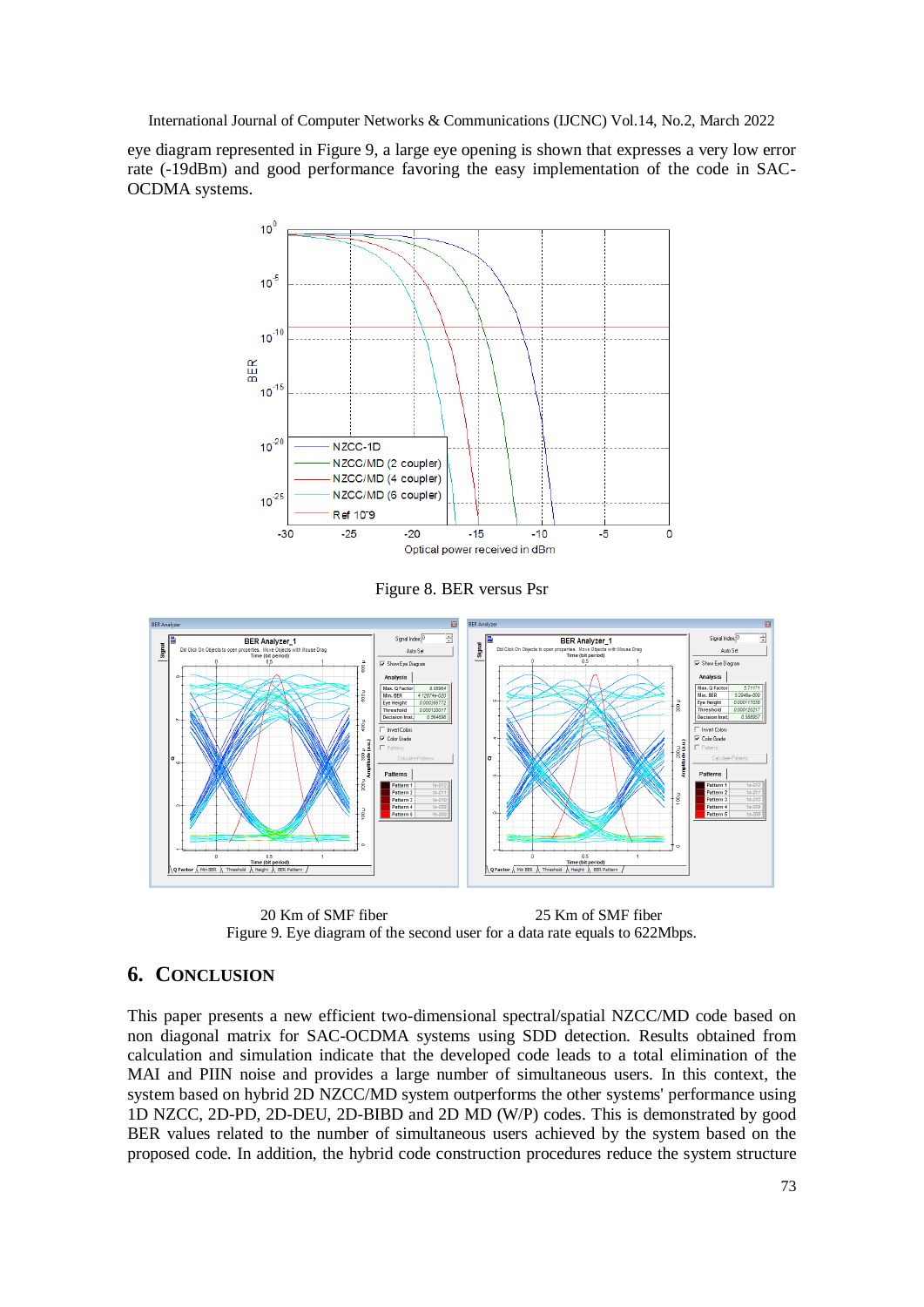eye diagram represented in Figure 9, a large eye opening is shown that expresses a very low error rate (-19dBm) and good performance favoring the easy implementation of the code in SAC-OCDMA systems.



Figure 8. BER versus Psr



20 Km of SMF fiber 25 Km of SMF fiber Figure 9. Eye diagram of the second user for a data rate equals to 622Mbps.

## **6. CONCLUSION**

This paper presents a new efficient two-dimensional spectral/spatial NZCC/MD code based on non diagonal matrix for SAC-OCDMA systems using SDD detection. Results obtained from calculation and simulation indicate that the developed code leads to a total elimination of the MAI and PIIN noise and provides a large number of simultaneous users. In this context, the system based on hybrid 2D NZCC/MD system outperforms the other systems' performance using 1D NZCC, 2D-PD, 2D-DEU, 2D-BIBD and 2D MD (W/P) codes. This is demonstrated by good BER values related to the number of simultaneous users achieved by the system based on the proposed code. In addition, the hybrid code construction procedures reduce the system structure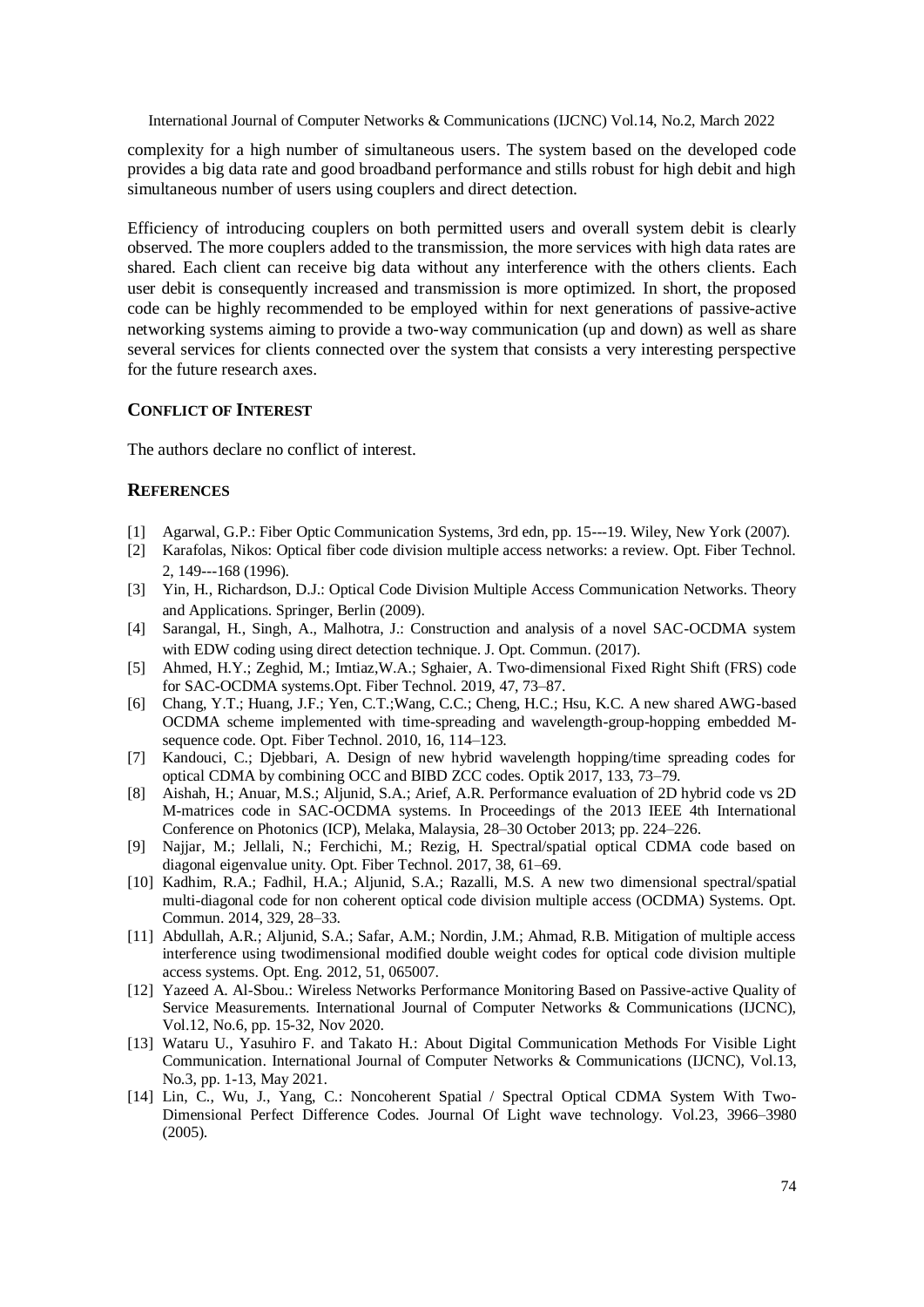complexity for a high number of simultaneous users. The system based on the developed code provides a big data rate and good broadband performance and stills robust for high debit and high simultaneous number of users using couplers and direct detection.

Efficiency of introducing couplers on both permitted users and overall system debit is clearly observed. The more couplers added to the transmission, the more services with high data rates are shared. Each client can receive big data without any interference with the others clients. Each user debit is consequently increased and transmission is more optimized. In short, the proposed code can be highly recommended to be employed within for next generations of passive-active networking systems aiming to provide a two-way communication (up and down) as well as share several services for clients connected over the system that consists a very interesting perspective for the future research axes.

#### **CONFLICT OF INTEREST**

The authors declare no conflict of interest.

#### **REFERENCES**

- [1] Agarwal, G.P.: Fiber Optic Communication Systems, 3rd edn, pp. 15---19. Wiley, New York (2007).
- [2] Karafolas, Nikos: Optical fiber code division multiple access networks: a review. Opt. Fiber Technol. 2, 149---168 (1996).
- [3] Yin, H., Richardson, D.J.: Optical Code Division Multiple Access Communication Networks. Theory and Applications. Springer, Berlin (2009).
- [4] Sarangal, H., Singh, A., Malhotra, J.: Construction and analysis of a novel SAC-OCDMA system with EDW coding using direct detection technique. J. Opt. Commun. (2017).
- [5] Ahmed, H.Y.; Zeghid, M.; Imtiaz,W.A.; Sghaier, A. Two-dimensional Fixed Right Shift (FRS) code for SAC-OCDMA systems.Opt. Fiber Technol. 2019, 47, 73–87.
- [6] Chang, Y.T.; Huang, J.F.; Yen, C.T.;Wang, C.C.; Cheng, H.C.; Hsu, K.C. A new shared AWG-based OCDMA scheme implemented with time-spreading and wavelength-group-hopping embedded Msequence code. Opt. Fiber Technol. 2010, 16, 114–123.
- [7] Kandouci, C.; Djebbari, A. Design of new hybrid wavelength hopping/time spreading codes for optical CDMA by combining OCC and BIBD ZCC codes. Optik 2017, 133, 73–79.
- [8] Aishah, H.; Anuar, M.S.; Aljunid, S.A.; Arief, A.R. Performance evaluation of 2D hybrid code vs 2D M-matrices code in SAC-OCDMA systems. In Proceedings of the 2013 IEEE 4th International Conference on Photonics (ICP), Melaka, Malaysia, 28–30 October 2013; pp. 224–226.
- [9] Najjar, M.; Jellali, N.; Ferchichi, M.; Rezig, H. Spectral/spatial optical CDMA code based on diagonal eigenvalue unity. Opt. Fiber Technol. 2017, 38, 61–69.
- [10] Kadhim, R.A.; Fadhil, H.A.; Aljunid, S.A.; Razalli, M.S. A new two dimensional spectral/spatial multi-diagonal code for non coherent optical code division multiple access (OCDMA) Systems. Opt. Commun. 2014, 329, 28–33.
- [11] Abdullah, A.R.; Aljunid, S.A.; Safar, A.M.; Nordin, J.M.; Ahmad, R.B. Mitigation of multiple access interference using twodimensional modified double weight codes for optical code division multiple access systems. Opt. Eng. 2012, 51, 065007.
- [12] Yazeed A. Al-Sbou.: Wireless Networks Performance Monitoring Based on Passive-active Quality of Service Measurements. International Journal of Computer Networks & Communications (IJCNC), Vol.12, No.6, pp. 15-32, Nov 2020.
- [13] Wataru U., Yasuhiro F. and Takato H.: About Digital Communication Methods For Visible Light Communication. International Journal of Computer Networks & Communications (IJCNC), Vol.13, No.3, pp. 1-13, May 2021.
- [14] Lin, C., Wu, J., Yang, C.: Noncoherent Spatial / Spectral Optical CDMA System With Two-Dimensional Perfect Difference Codes. Journal Of Light wave technology. Vol.23, 3966–3980 (2005).